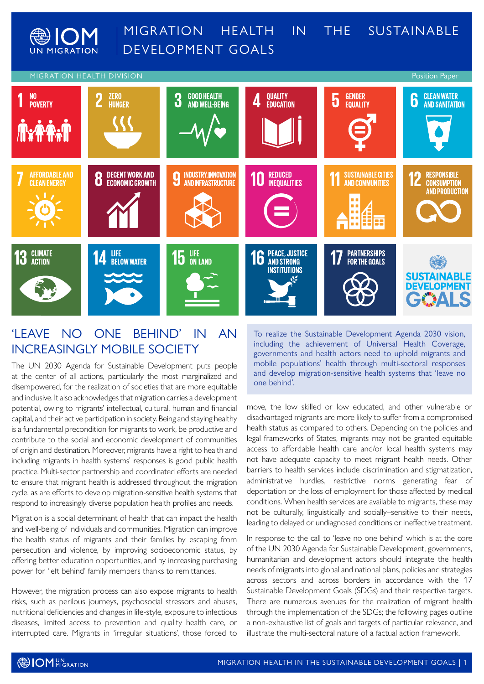



### 'LEAVE NO ONE BEHIND' IN AN INCREASINGLY MOBILE SOCIETY

The UN 2030 Agenda for Sustainable Development puts people at the center of all actions, particularly the most marginalized and disempowered, for the realization of societies that are more equitable and inclusive. It also acknowledges that migration carries a development potential, owing to migrants' intellectual, cultural, human and financial capital, and their active participation in society. Being and staying healthy is a fundamental precondition for migrants to work, be productive and contribute to the social and economic development of communities of origin and destination. Moreover, migrants have a right to health and including migrants in health systems' responses is good public health practice. Multi-sector partnership and coordinated efforts are needed to ensure that migrant health is addressed throughout the migration cycle, as are efforts to develop migration-sensitive health systems that respond to increasingly diverse population health profiles and needs.

Migration is a social determinant of health that can impact the health and well-being of individuals and communities. Migration can improve the health status of migrants and their families by escaping from persecution and violence, by improving socioeconomic status, by offering better education opportunities, and by increasing purchasing power for 'left behind' family members thanks to remittances.

However, the migration process can also expose migrants to health risks, such as perilous journeys, psychosocial stressors and abuses, nutritional deficiencies and changes in life-style, exposure to infectious diseases, limited access to prevention and quality health care, or interrupted care. Migrants in 'irregular situations', those forced to

To realize the Sustainable Development Agenda 2030 vision, including the achievement of Universal Health Coverage, governments and health actors need to uphold migrants and mobile populations' health through multi-sectoral responses and develop migration-sensitive health systems that 'leave no one behind'.

move, the low skilled or low educated, and other vulnerable or disadvantaged migrants are more likely to suffer from a compromised health status as compared to others. Depending on the policies and legal frameworks of States, migrants may not be granted equitable access to affordable health care and/or local health systems may not have adequate capacity to meet migrant health needs. Other barriers to health services include discrimination and stigmatization, administrative hurdles, restrictive norms generating fear of deportation or the loss of employment for those affected by medical conditions. When health services are available to migrants, these may not be culturally, linguistically and socially–sensitive to their needs, leading to delayed or undiagnosed conditions or ineffective treatment.

In response to the call to 'leave no one behind' which is at the core of the UN 2030 Agenda for Sustainable Development, governments, humanitarian and development actors should integrate the health needs of migrants into global and national plans, policies and strategies across sectors and across borders in accordance with the 17 Sustainable Development Goals (SDGs) and their respective targets. There are numerous avenues for the realization of migrant health through the implementation of the SDGs; the following pages outline a non-exhaustive list of goals and targets of particular relevance, and illustrate the multi-sectoral nature of a factual action framework.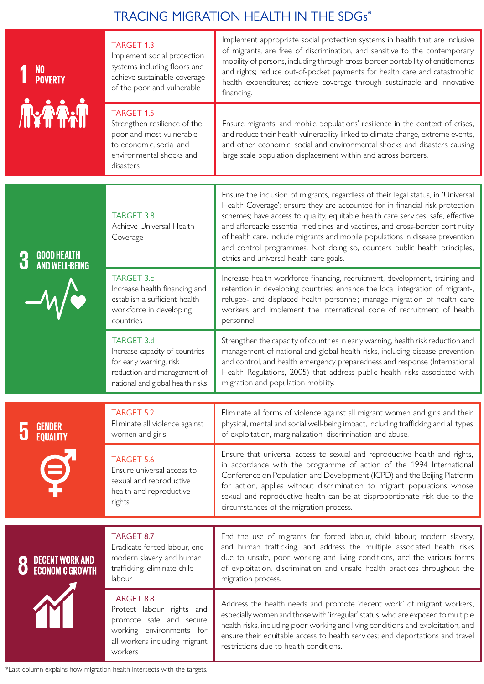## TRACING MIGRATION HEALTH IN THE SDGs\*

| NO<br>Poverty<br><b>AxAA.A</b>                  | <b>TARGET 1.3</b><br>Implement social protection<br>systems including floors and<br>achieve sustainable coverage<br>of the poor and vulnerable<br><b>TARGET 1.5</b><br>Strengthen resilience of the<br>poor and most vulnerable<br>to economic, social and | Implement appropriate social protection systems in health that are inclusive<br>of migrants, are free of discrimination, and sensitive to the contemporary<br>mobility of persons, including through cross-border portability of entitlements<br>and rights; reduce out-of-pocket payments for health care and catastrophic<br>health expenditures; achieve coverage through sustainable and innovative<br>financing.<br>Ensure migrants' and mobile populations' resilience in the context of crises,<br>and reduce their health vulnerability linked to climate change, extreme events,<br>and other economic, social and environmental shocks and disasters causing |
|-------------------------------------------------|------------------------------------------------------------------------------------------------------------------------------------------------------------------------------------------------------------------------------------------------------------|------------------------------------------------------------------------------------------------------------------------------------------------------------------------------------------------------------------------------------------------------------------------------------------------------------------------------------------------------------------------------------------------------------------------------------------------------------------------------------------------------------------------------------------------------------------------------------------------------------------------------------------------------------------------|
|                                                 | environmental shocks and<br>disasters                                                                                                                                                                                                                      | large scale population displacement within and across borders.                                                                                                                                                                                                                                                                                                                                                                                                                                                                                                                                                                                                         |
| GOOD HEALTH<br>AND WELL-BEING<br>3<br>$-\omega$ | <b>TARGET 3.8</b><br>Achieve Universal Health<br>Coverage                                                                                                                                                                                                  | Ensure the inclusion of migrants, regardless of their legal status, in 'Universal<br>Health Coverage'; ensure they are accounted for in financial risk protection<br>schemes; have access to quality, equitable health care services, safe, effective<br>and affordable essential medicines and vaccines, and cross-border continuity<br>of health care. Include migrants and mobile populations in disease prevention<br>and control programmes. Not doing so, counters public health principles,<br>ethics and universal health care goals.                                                                                                                          |
|                                                 | <b>TARGET 3.c</b><br>Increase health financing and<br>establish a sufficient health<br>workforce in developing<br>countries                                                                                                                                | Increase health workforce financing, recruitment, development, training and<br>retention in developing countries; enhance the local integration of migrant-,<br>refugee- and displaced health personnel; manage migration of health care<br>workers and implement the international code of recruitment of health<br>personnel.                                                                                                                                                                                                                                                                                                                                        |
|                                                 | <b>TARGET 3.d</b><br>Increase capacity of countries<br>for early warning, risk<br>reduction and management of<br>national and global health risks                                                                                                          | Strengthen the capacity of countries in early warning, health risk reduction and<br>management of national and global health risks, including disease prevention<br>and control, and health emergency preparedness and response (International<br>Health Regulations, 2005) that address public health risks associated with<br>migration and population mobility.                                                                                                                                                                                                                                                                                                     |
| GENDER<br>EQUALITY<br>$\Theta$                  | <b>TARGET 5.2</b><br>Eliminate all violence against<br>women and girls                                                                                                                                                                                     | Eliminate all forms of violence against all migrant women and girls and their<br>physical, mental and social well-being impact, including trafficking and all types<br>of exploitation, marginalization, discrimination and abuse.                                                                                                                                                                                                                                                                                                                                                                                                                                     |
|                                                 | <b>TARGET 5.6</b><br>Ensure universal access to<br>sexual and reproductive<br>health and reproductive<br>rights                                                                                                                                            | Ensure that universal access to sexual and reproductive health and rights,<br>in accordance with the programme of action of the 1994 International<br>Conference on Population and Development (ICPD) and the Beijing Platform<br>for action, applies without discrimination to migrant populations whose<br>sexual and reproductive health can be at disproportionate risk due to the<br>circumstances of the migration process.                                                                                                                                                                                                                                      |
|                                                 | <b>TARGET 8.7</b><br>Eradicate forced labour, end                                                                                                                                                                                                          | End the use of migrants for forced labour, child labour, modern slavery,<br>and human trafficking, and address the multiple associated health risks                                                                                                                                                                                                                                                                                                                                                                                                                                                                                                                    |
| DECENT WORK AND<br>ECONOMIC GROWTH              | modern slavery and human<br>trafficking; eliminate child<br>labour                                                                                                                                                                                         | due to unsafe, poor working and living conditions, and the various forms<br>of exploitation, discrimination and unsafe health practices throughout the<br>migration process.                                                                                                                                                                                                                                                                                                                                                                                                                                                                                           |
|                                                 | TARGET 8.8<br>Protect labour rights and<br>promote safe and secure<br>working environments for<br>all workers including migrant<br>workers                                                                                                                 | Address the health needs and promote 'decent work' of migrant workers,<br>especially women and those with 'irregular' status, who are exposed to multiple<br>health risks, including poor working and living conditions and exploitation, and<br>ensure their equitable access to health services; end deportations and travel<br>restrictions due to health conditions.                                                                                                                                                                                                                                                                                               |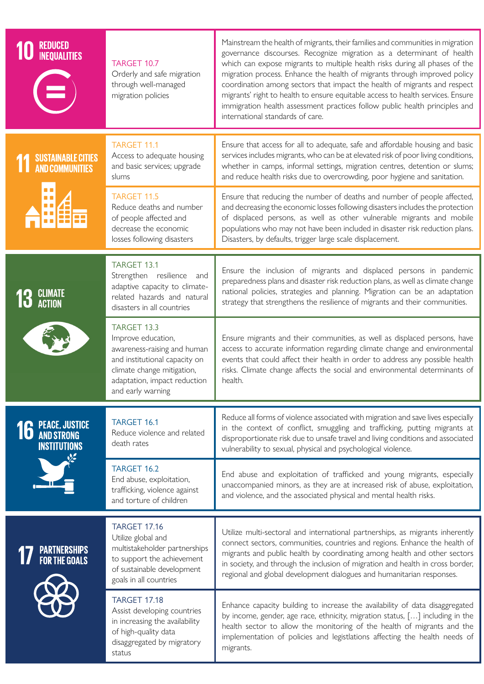| <b>REDUCED<br/>INEQUALITIES</b>                 | TARGET 10.7<br>Orderly and safe migration<br>through well-managed<br>migration policies                                                                                                     | Mainstream the health of migrants, their families and communities in migration<br>governance discourses. Recognize migration as a determinant of health<br>which can expose migrants to multiple health risks during all phases of the<br>migration process. Enhance the health of migrants through improved policy<br>coordination among sectors that impact the health of migrants and respect<br>migrants' right to health to ensure equitable access to health services. Ensure<br>immigration health assessment practices follow public health principles and<br>international standards of care. |
|-------------------------------------------------|---------------------------------------------------------------------------------------------------------------------------------------------------------------------------------------------|--------------------------------------------------------------------------------------------------------------------------------------------------------------------------------------------------------------------------------------------------------------------------------------------------------------------------------------------------------------------------------------------------------------------------------------------------------------------------------------------------------------------------------------------------------------------------------------------------------|
| SUSTAINABLE CITIES<br>AND COMMUNITIES           | <b>TARGET 11.1</b><br>Access to adequate housing<br>and basic services; upgrade<br>slums                                                                                                    | Ensure that access for all to adequate, safe and affordable housing and basic<br>services includes migrants, who can be at elevated risk of poor living conditions,<br>whether in camps, informal settings, migration centres, detention or slums;<br>and reduce health risks due to overcrowding, poor hygiene and sanitation.                                                                                                                                                                                                                                                                        |
|                                                 | <b>TARGET 11.5</b><br>Reduce deaths and number<br>of people affected and<br>decrease the economic<br>losses following disasters                                                             | Ensure that reducing the number of deaths and number of people affected,<br>and decreasing the economic losses following disasters includes the protection<br>of displaced persons, as well as other vulnerable migrants and mobile<br>populations who may not have been included in disaster risk reduction plans.<br>Disasters, by defaults, trigger large scale displacement.                                                                                                                                                                                                                       |
| <b>13 CLIMATE</b>                               | TARGET 13.1<br>Strengthen resilience<br>and<br>adaptive capacity to climate-<br>related hazards and natural<br>disasters in all countries                                                   | Ensure the inclusion of migrants and displaced persons in pandemic<br>preparedness plans and disaster risk reduction plans, as well as climate change<br>national policies, strategies and planning. Migration can be an adaptation<br>strategy that strengthens the resilience of migrants and their communities.                                                                                                                                                                                                                                                                                     |
|                                                 | <b>TARGET 13.3</b><br>Improve education,<br>awareness-raising and human<br>and institutional capacity on<br>climate change mitigation,<br>adaptation, impact reduction<br>and early warning | Ensure migrants and their communities, as well as displaced persons, have<br>access to accurate information regarding climate change and environmental<br>events that could affect their health in order to address any possible health<br>risks. Climate change affects the social and environmental determinants of<br>health.                                                                                                                                                                                                                                                                       |
| <b>16</b> PEACE, JUSTICE<br><b>INSTITUTIONS</b> | <b>TARGET 16.1</b><br>Reduce violence and related<br>death rates                                                                                                                            | Reduce all forms of violence associated with migration and save lives especially<br>in the context of conflict, smuggling and trafficking, putting migrants at<br>disproportionate risk due to unsafe travel and living conditions and associated<br>vulnerability to sexual, physical and psychological violence.                                                                                                                                                                                                                                                                                     |
|                                                 | TARGET 16.2<br>End abuse, exploitation,<br>trafficking, violence against<br>and torture of children                                                                                         | End abuse and exploitation of trafficked and young migrants, especially<br>unaccompanied minors, as they are at increased risk of abuse, exploitation,<br>and violence, and the associated physical and mental health risks.                                                                                                                                                                                                                                                                                                                                                                           |
| <b>PARTNERSHIPS<br/>For the Goals</b>           | <b>TARGET 17.16</b><br>Utilize global and<br>multistakeholder partnerships<br>to support the achievement<br>of sustainable development<br>goals in all countries                            | Utilize multi-sectoral and international partnerships, as migrants inherently<br>connect sectors, communities, countries and regions. Enhance the health of<br>migrants and public health by coordinating among health and other sectors<br>in society, and through the inclusion of migration and health in cross border,<br>regional and global development dialogues and humanitarian responses.                                                                                                                                                                                                    |
|                                                 | <b>TARGET 17.18</b><br>Assist developing countries<br>in increasing the availability<br>of high-quality data<br>disaggregated by migratory<br>status                                        | Enhance capacity building to increase the availability of data disaggregated<br>by income, gender, age race, ethnicity, migration status, [] including in the<br>health sector to allow the monitoring of the health of migrants and the<br>implementation of policies and legistlations affecting the health needs of<br>migrants.                                                                                                                                                                                                                                                                    |